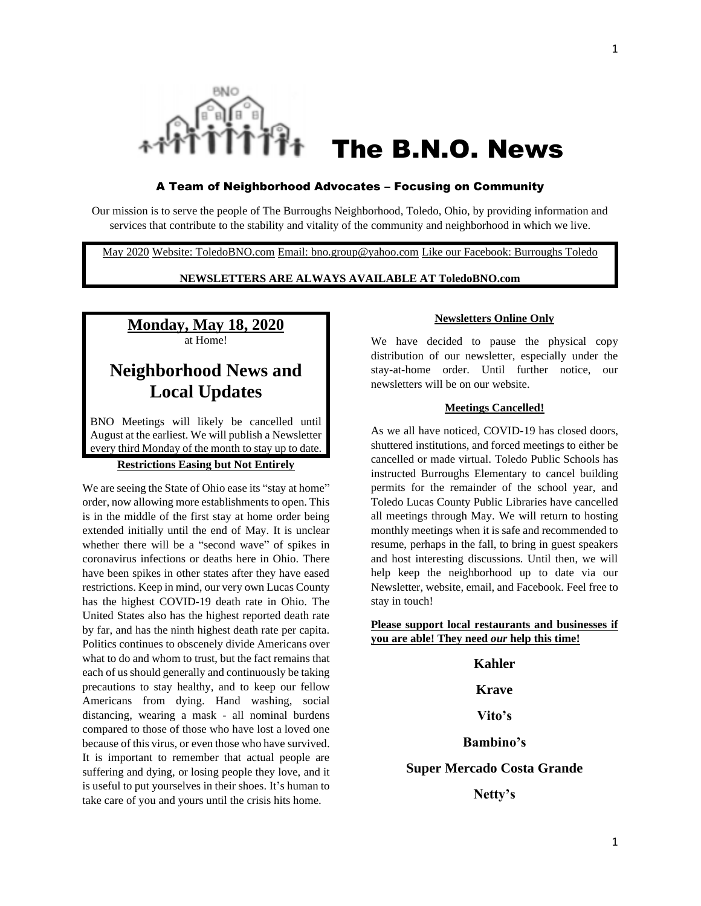

# The B.N.O. News

#### A Team of Neighborhood Advocates – Focusing on Community

Our mission is to serve the people of The Burroughs Neighborhood, Toledo, Ohio, by providing information and services that contribute to the stability and vitality of the community and neighborhood in which we live.

May 2020 Website: ToledoBNO.com Email: bno.group@yahoo.com Like our Facebook: Burroughs Toledo

# **NEWSLETTERS ARE ALWAYS AVAILABLE AT ToledoBNO.com**

# **Monday, May 18, 2020** at Home!

# **Neighborhood News and Local Updates**

BNO Meetings will likely be cancelled until August at the earliest. We will publish a Newsletter every third Monday of the month to stay up to date.

# **Restrictions Easing but Not Entirely**

We are seeing the State of Ohio ease its "stay at home" order, now allowing more establishments to open. This is in the middle of the first stay at home order being extended initially until the end of May. It is unclear whether there will be a "second wave" of spikes in coronavirus infections or deaths here in Ohio. There have been spikes in other states after they have eased restrictions. Keep in mind, our very own Lucas County has the highest COVID-19 death rate in Ohio. The United States also has the highest reported death rate by far, and has the ninth highest death rate per capita. Politics continues to obscenely divide Americans over what to do and whom to trust, but the fact remains that each of us should generally and continuously be taking precautions to stay healthy, and to keep our fellow Americans from dying. Hand washing, social distancing, wearing a mask - all nominal burdens compared to those of those who have lost a loved one because of this virus, or even those who have survived. It is important to remember that actual people are suffering and dying, or losing people they love, and it is useful to put yourselves in their shoes. It's human to take care of you and yours until the crisis hits home.

### **Newsletters Online Only**

We have decided to pause the physical copy distribution of our newsletter, especially under the stay-at-home order. Until further notice, our newsletters will be on our website.

# **Meetings Cancelled!**

As we all have noticed, COVID-19 has closed doors, shuttered institutions, and forced meetings to either be cancelled or made virtual. Toledo Public Schools has instructed Burroughs Elementary to cancel building permits for the remainder of the school year, and Toledo Lucas County Public Libraries have cancelled all meetings through May. We will return to hosting monthly meetings when it is safe and recommended to resume, perhaps in the fall, to bring in guest speakers and host interesting discussions. Until then, we will help keep the neighborhood up to date via our Newsletter, website, email, and Facebook. Feel free to stay in touch!

**Please support local restaurants and businesses if you are able! They need** *our* **help this time!**

# **Kahler**

#### **Krave**

# **Vito's**

# **Bambino's**

### **Super Mercado Costa Grande**

**Netty's**